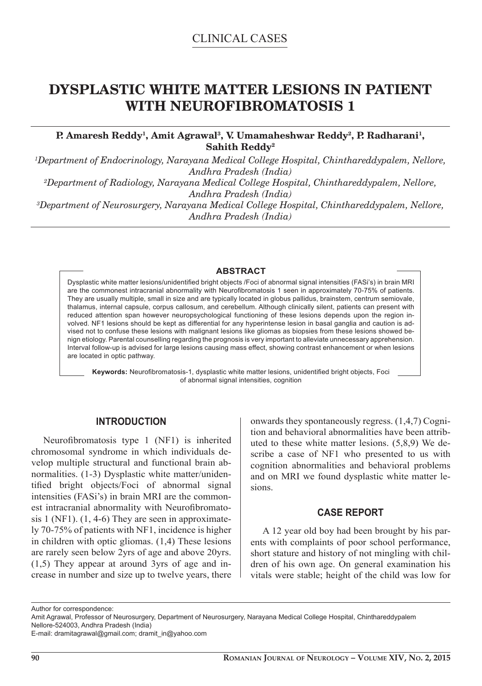# **DYSPLASTIC WHITE MATTER LESIONS IN PATIENT WITH NEUROFIBROMATOSIS 1**

## P. Amaresh Reddy<sup>1</sup>, Amit Agrawal<sup>3</sup>, V. Umamaheshwar Reddy<sup>2</sup>, P. Radharani<sup>1</sup>, **Sahith Reddy2**

*1 Department of Endocrinology, Narayana Medical College Hospital, Chinthareddypalem, Nellore, Andhra Pradesh (India) 2 Department of Radiology, Narayana Medical College Hospital, Chinthareddypalem, Nellore, Andhra Pradesh (India) 3 Department of Neurosurgery, Narayana Medical College Hospital, Chinthareddypalem, Nellore, Andhra Pradesh (India)*

#### **ABSTRACT**

Dysplastic white matter lesions/unidentified bright objects /Foci of abnormal signal intensities (FASi's) in brain MRI are the commonest intracranial abnormality with Neurofibromatosis 1 seen in approximately 70-75% of patients. They are usually multiple, small in size and are typically located in globus pallidus, brainstem, centrum semiovale, thalamus, internal capsule, corpus callosum, and cerebellum. Although clinically silent, patients can present with reduced attention span however neuropsychological functioning of these lesions depends upon the region involved. NF1 lesions should be kept as differential for any hyperintense lesion in basal ganglia and caution is advised not to confuse these lesions with malignant lesions like gliomas as biopsies from these lesions showed benign etiology. Parental counselling regarding the prognosis is very important to alleviate unnecessary apprehension. Interval follow-up is advised for large lesions causing mass effect, showing contrast enhancement or when lesions are located in optic pathway.

Keywords: Neurofibromatosis-1, dysplastic white matter lesions, unidentified bright objects, Foci of abnormal signal intensities, cognition

## **INTRODUCTION**

Neurofibromatosis type 1 (NF1) is inherited chromosomal syndrome in which individuals develop multiple structural and functional brain abnormalities. (1-3) Dysplastic white matter/unidentified bright objects/Foci of abnormal signal intensities (FASi's) in brain MRI are the commonest intracranial abnormality with Neurofibromatosis 1 (NF1). (1, 4-6) They are seen in approximately 70-75% of patients with NF1, incidence is higher in children with optic gliomas. (1,4) These lesions are rarely seen below 2yrs of age and above 20yrs. (1,5) They appear at around 3yrs of age and increase in number and size up to twelve years, there

onwards they spontaneously regress. (1,4,7) Cognition and behavioral abnormalities have been attributed to these white matter lesions. (5,8,9) We describe a case of NF1 who presented to us with cognition abnormalities and behavioral problems and on MRI we found dysplastic white matter lesions.

## **CASE REPORT**

A 12 year old boy had been brought by his parents with complaints of poor school performance, short stature and history of not mingling with children of his own age. On general examination his vitals were stable; height of the child was low for

Author for correspondence:

Amit Agrawal, Professor of Neurosurgery, Department of Neurosurgery, Narayana Medical College Hospital, Chinthareddypalem Nellore-524003, Andhra Pradesh (India)

E-mail: dramitagrawal@gmail.com; dramit\_in@yahoo.com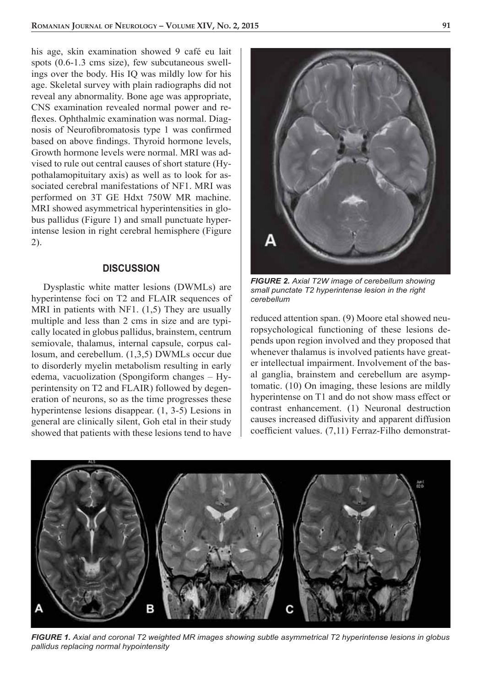his age, skin examination showed 9 café eu lait spots (0.6-1.3 cms size), few subcutaneous swellings over the body. His IQ was mildly low for his age. Skeletal survey with plain radiographs did not reveal any abnormality. Bone age was appropriate, CNS examination revealed normal power and reflexes. Ophthalmic examination was normal. Diagnosis of Neurofibromatosis type 1 was confirmed based on above findings. Thyroid hormone levels, Growth hormone levels were normal. MRI was advised to rule out central causes of short stature (Hypothalamopituitary axis) as well as to look for associated cerebral manifestations of NF1. MRI was performed on 3T GE Hdxt 750W MR machine. MRI showed asymmetrical hyperintensities in globus pallidus (Figure 1) and small punctuate hyperintense lesion in right cerebral hemisphere (Figure 2).

#### **DISCUSSION**

Dysplastic white matter lesions (DWMLs) are hyperintense foci on T2 and FLAIR sequences of MRI in patients with NF1. (1,5) They are usually multiple and less than 2 cms in size and are typically located in globus pallidus, brainstem, centrum semiovale, thalamus, internal capsule, corpus callosum, and cerebellum. (1,3,5) DWMLs occur due to disorderly myelin metabolism resulting in early edema, vacuolization (Spongiform changes – Hyperintensity on T2 and FLAIR) followed by degeneration of neurons, so as the time progresses these hyperintense lesions disappear. (1, 3-5) Lesions in general are clinically silent, Goh etal in their study showed that patients with these lesions tend to have



*FIGURE 2. Axial T2W image of cerebellum showing small punctate T2 hyperintense lesion in the right cerebellum*

reduced attention span. (9) Moore etal showed neuropsychological functioning of these lesions depends upon region involved and they proposed that whenever thalamus is involved patients have greater intellectual impairment. Involvement of the basal ganglia, brainstem and cerebellum are asymptomatic. (10) On imaging, these lesions are mildly hyperintense on T1 and do not show mass effect or contrast enhancement. (1) Neuronal destruction causes increased diffusivity and apparent diffusion coefficient values. (7,11) Ferraz-Filho demonstrat-



*FIGURE 1. Axial and coronal T2 weighted MR images showing subtle asymmetrical T2 hyperintense lesions in globus pallidus replacing normal hypointensity*